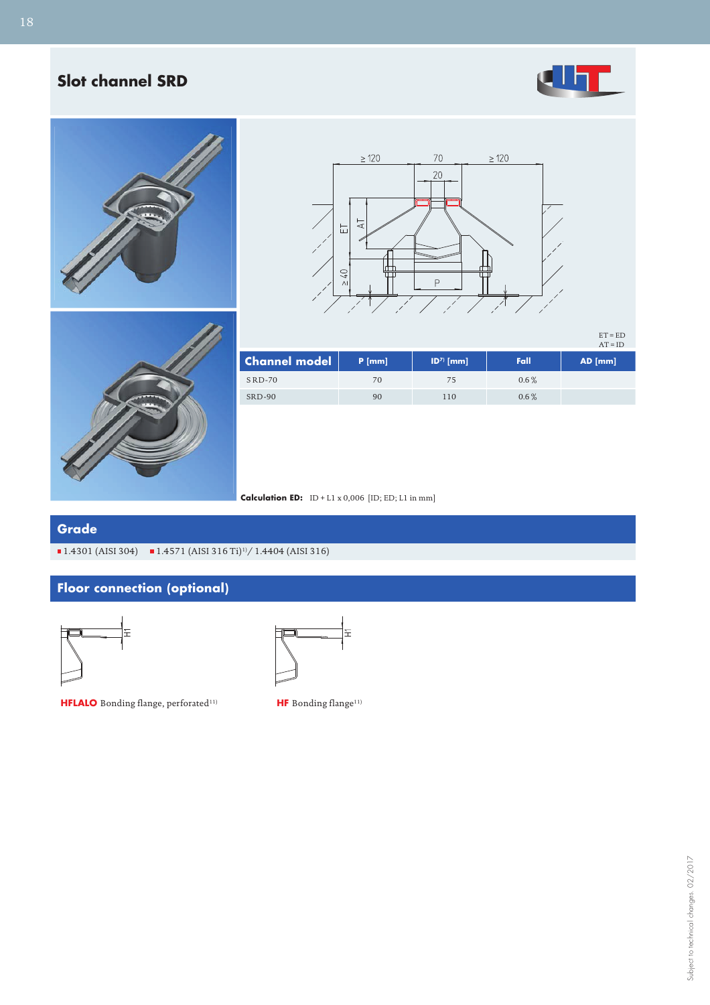## **Slot channel SRD**







ET = ED AT = ID



|                      |          |            |         | $\Delta I = I U$ |
|----------------------|----------|------------|---------|------------------|
| <b>Channel model</b> | $P$ [mm] | $ID7$ [mm] | Fall    | $AD$ [mm]        |
| $SRD-70$             | 70       | 75         | $0.6\%$ |                  |
| SRD-90               | 90       | 110        | $0.6\%$ |                  |

**Calculation ED:** ID + L1 x 0,006 [ID; ED; L1 in mm]

## **Grade**

 $\blacksquare$  1.4301 (AISI 304)  $\blacksquare$  1.4571 (AISI 316 Ti)<sup>1</sup>)/ 1.4404 (AISI 316)

## **Floor connection (optional)**



**HFLALO** Bonding flange, perforated<sup>11)</sup> **HF** Bonding flange<sup>11)</sup>